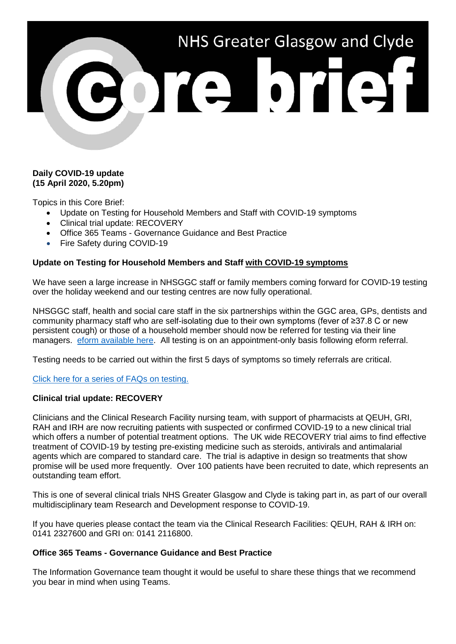

## **Daily COVID-19 update (15 April 2020, 5.20pm)**

Topics in this Core Brief:

- Update on Testing for Household Members and Staff with COVID-19 symptoms
- Clinical trial update: RECOVERY
- Office 365 Teams Governance Guidance and Best Practice
- Fire Safety during COVID-19

# **Update on Testing for Household Members and Staff with COVID-19 symptoms**

We have seen a large increase in NHSGGC staff or family members coming forward for COVID-19 testing over the holiday weekend and our testing centres are now fully operational.

NHSGGC staff, health and social care staff in the six partnerships within the GGC area, GPs, dentists and community pharmacy staff who are self-isolating due to their own symptoms (fever of ≥37.8 C or new persistent cough) or those of a household member should now be referred for testing via their line managers. [eform available here.](https://forms.office.com/Pages/ResponsePage.aspx?id=veDvEDCgykuAnLXmdF5JmgW9YoY5w-BDlHK7ghonYUBUREhYMVBENDNBTzNYMU9GT0E4UkJDV0wySyQlQCN0PWcu) All testing is on an appointment-only basis following eform referral.

Testing needs to be carried out within the first 5 days of symptoms so timely referrals are critical.

[Click here for a series of FAQs on testing.](https://www.nhsggc.org.uk/media/259915/2020_04_09-stafftestingfaqsv90.pdf)

#### **Clinical trial update: RECOVERY**

Clinicians and the Clinical Research Facility nursing team, with support of pharmacists at QEUH, GRI, RAH and IRH are now recruiting patients with suspected or confirmed COVID-19 to a new clinical trial which offers a number of potential treatment options. The UK wide RECOVERY trial aims to find effective treatment of COVID-19 by testing pre-existing medicine such as steroids, antivirals and antimalarial agents which are compared to standard care. The trial is adaptive in design so treatments that show promise will be used more frequently. Over 100 patients have been recruited to date, which represents an outstanding team effort.

This is one of several clinical trials NHS Greater Glasgow and Clyde is taking part in, as part of our overall multidisciplinary team Research and Development response to COVID-19.

If you have queries please contact the team via the Clinical Research Facilities: QEUH, RAH & IRH on: 0141 2327600 and GRI on: 0141 2116800.

#### **Office 365 Teams - Governance Guidance and Best Practice**

The Information Governance team thought it would be useful to share these things that we recommend you bear in mind when using Teams.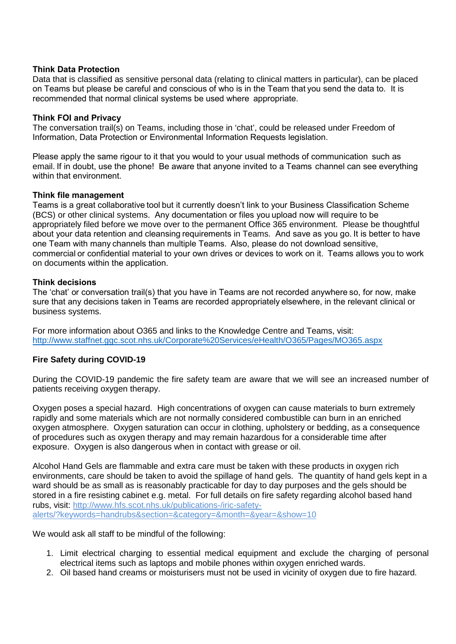#### **Think Data Protection**

Data that is classified as sensitive personal data (relating to clinical matters in particular), can be placed on Teams but please be careful and conscious of who is in the Team that you send the data to. It is recommended that normal clinical systems be used where  appropriate. 

## **Think FOI and Privacy**

The conversation trail(s) on Teams, including those in 'chat', could be released under Freedom of Information, Data Protection or Environmental Information Requests legislation.  

Please apply the same rigour to it that you would to your usual methods of communication  such as email. If in doubt, use the phone! Be aware that anyone invited to a Teams  channel can see everything within that environment. 

#### **Think file management**

Teams is a great collaborative tool but it currently doesn't link to your Business Classification Scheme (BCS) or other clinical systems. Any documentation or files you upload now will require to be appropriately filed before we move over to the permanent Office 365 environment. Please be thoughtful about your data retention and cleansing requirements in Teams. And save as you go. It is better to have one Team with many channels than multiple Teams.  Also, please do not download sensitive, commercial or confidential material to your own drives or devices to work on it. Teams allows you to work on documents within the application. 

# **Think decisions**

The 'chat' or conversation trail(s) that you have in Teams are not recorded anywhere so, for now, make sure that any decisions taken in Teams are recorded appropriately elsewhere, in the relevant clinical or business systems.

For more information about O365 and links to the Knowledge Centre and Teams, visit: <http://www.staffnet.ggc.scot.nhs.uk/Corporate%20Services/eHealth/O365/Pages/MO365.aspx>

# **Fire Safety during COVID-19**

During the COVID-19 pandemic the fire safety team are aware that we will see an increased number of patients receiving oxygen therapy.

Oxygen poses a special hazard. High concentrations of oxygen can cause materials to burn extremely rapidly and some materials which are not normally considered combustible can burn in an enriched oxygen atmosphere. Oxygen saturation can occur in clothing, upholstery or bedding, as a consequence of procedures such as oxygen therapy and may remain hazardous for a considerable time after exposure. Oxygen is also dangerous when in contact with grease or oil.

Alcohol Hand Gels are flammable and extra care must be taken with these products in oxygen rich environments, care should be taken to avoid the spillage of hand gels. The quantity of hand gels kept in a ward should be as small as is reasonably practicable for day to day purposes and the gels should be stored in a fire resisting cabinet e.g. metal. For full details on fire safety regarding alcohol based hand rubs, visit: [http://www.hfs.scot.nhs.uk/publications-/iric-safety](http://www.hfs.scot.nhs.uk/publications-/iric-safety-alerts/?keywords=handrubs§ion=&category=&month=&year=&show=10)[alerts/?keywords=handrubs&section=&category=&month=&year=&show=10](http://www.hfs.scot.nhs.uk/publications-/iric-safety-alerts/?keywords=handrubs§ion=&category=&month=&year=&show=10)

We would ask all staff to be mindful of the following:

- 1. Limit electrical charging to essential medical equipment and exclude the charging of personal electrical items such as laptops and mobile phones within oxygen enriched wards.
- 2. Oil based hand creams or moisturisers must not be used in vicinity of oxygen due to fire hazard.